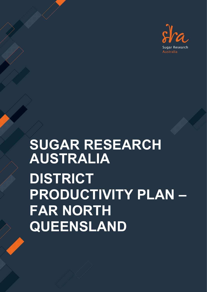

# **SUGAR RESEARCH AUSTRALIA DISTRICT PRODUCTIVITY PLAN – FAR NORTH QUEENSLAND**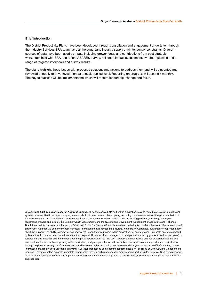#### **Brief Introduction**

The District Productivity Plans have been developed through consultation and engagement undertaken through the Industry Services SRA team, across the sugarcane industry supply chain to identify constraints. Different sources of data have been used as inputs including grower ideas and contributions from past strategic workshops held with SRA, the recent ABARES survey, mill data, impact assessments where applicable and a range of targeted interviews and survey results.

The plans highlight these issues with proposed solutions and actions to address them and will be updated and reviewed annually to drive investment at a local, applied level. Reporting on progress will occur six monthly. The key to success will be implementation which will require leadership, change and focus.

**© Copyright 2022 by Sugar Research Australia Limited.** All rights reserved. No part of this publication, may be reproduced, stored in a retrieval system, or transmitted in any form or by any means, electronic, mechanical, photocopying, recording, or otherwise, without the prior permission of Sugar Research Australia Limited. Sugar Research Australia Limited acknowledges and thanks its funding providers, including levy payers (sugarcane growers and millers), the Commonwealth Government, and the Queensland Government (Department of Agriculture and Fisheries). **Disclaimer:** In this disclaimer a reference to 'SRA', 'we', 'us' or 'our' means Sugar Research Australia Limited and our directors, officers, agents and employees. Although we do our very best to present information that is correct and accurate, we make no warranties, guarantees or representations about the suitability, reliability, currency or accuracy of the information we present in this publication, for any purposes. Subject to any terms implied by law and which cannot be excluded, we accept no responsibility for any loss, damage, cost or expense incurred by you as a result of the use of, or reliance on, any materials and information appearing in this publication. You, the user, accept sole responsibility and risk associated with the use and results of the information appearing in this publication, and you agree that we will not be liable for any loss or damage whatsoever (including through negligence) arising out of, or in connection with the use of this publication. We recommend that you contact our staff before acting on any information provided in this publication. **Warning:** Our tests, inspections and recommendations should not be relied on without further, independent inquiries. They may not be accurate, complete or applicable for your particular needs for many reasons, including (for example) SRA being unaware of other matters relevant to individual crops, the analysis of unrepresentative samples or the influence of environmental, managerial or other factors on production.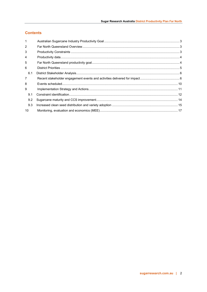# **Contents**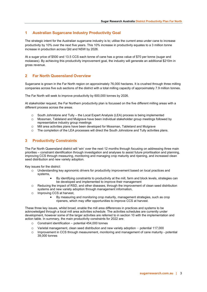## <span id="page-3-0"></span>**1 Australian Sugarcane Industry Productivity Goal**

The strategic intent for the Australian sugarcane industry is to; utilise the current area under cane to increase productivity by 10% over the next five years. This 10% increase in productivity equates to a 3 million tonne increase in production across Qld and NSW by 2026.

At a sugar price of \$500 and 13.5 CCS each tonne of cane has a gross value of \$70 per tonne (sugar and molasses). By achieving this productivity improvement goal, the industry will generate an additional \$210m in gross revenue.

## <span id="page-3-1"></span>**2 Far North Queensland Overview**

Sugarcane is grown in the Far North region on approximately 76,000 hectares. It is crushed through three milling companies across five sub sections of the district with a total milling capacity of approximately 7.9 million tonnes.

The Far North will seek to improve productivity by 600,000 tonnes by 2026.

At stakeholder request, the Far Northern productivity plan is focussed on the five different milling areas with a different process across the areas.

- $\circ$  South Johnstone and Tully the Local Expert Analysis (LEA) process is being implemented  $\circ$  Mossman. Tableland and Mulgrave have been individual stakeholder group meetings follow
- Mossman, Tableland and Mulgrave have been individual stakeholder group meetings followed by representative industry group meetings
- o Mill area activities plans have been developed for Mossman, Tableland and Mulgrave<br>O. The completion of the LEA processes will direct the South Johnstone and Tully activities
- The completion of the LEA processes will direct the South Johnstone and Tully activities plans.

### <span id="page-3-2"></span>**3 Productivity Constraints**

The Far North Queensland district will 'win' over the next 12 months through focusing on addressing three main priorities – constraint identification through investigation and analyses to assist future prioritisation and planning, improving CCS through measuring, monitoring and managing crop maturity and ripening, and increased clean seed distribution and new variety adoption.

Key issues for the district:

- o Understanding key agronomic drivers for productivity improvement based on local practices and systems,
	- By identifying constraints to productivity at the mill, farm and block levels, strategies can be developed and implemented to improve their management
- o Reducing the impact of RSD, and other diseases, through the improvement of clean seed distribution systems and new variety adoption through management information,
- o Improving CCS at harvest,
	- By measuring and monitoring crop maturity, management strategies, such as crop ripeners, which may offer opportunities to improve CCS at harvest.

These three key issues, whilst broad, enable the mill area differences in practices and systems to be acknowledged through a local mill area activities schedule. The activities schedules are currently under development, however some of the larger activities are referred to in section 10 with the implementation and action table. In summary, the main productivity constraints for 2022 are:

- o Constraint identification potential 454,000 tonnes
- $\circ$  Varietal management, clean seed distribution and new variety adoption potential 117,000
- o Improvement in CCS through measurement, monitoring and management of cane maturity potential 39,000 tonnes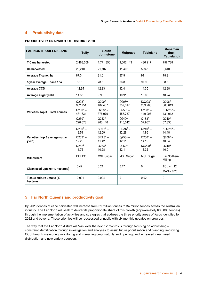## <span id="page-4-0"></span>**4 Productivity data**

## **PRODUCTIVITY SNAPSHOT OF DISTRICT 2020**

| <b>FAR NORTH QUEENSLAND</b>              | <b>Tully</b>                                                                  | <b>South</b><br><b>Johnstone</b>                                          | <b>Mulgrave</b>                                                           | <b>Tableland</b>                                                                   | <b>Mossman</b><br>(incl.<br>Tableland)                                             |
|------------------------------------------|-------------------------------------------------------------------------------|---------------------------------------------------------------------------|---------------------------------------------------------------------------|------------------------------------------------------------------------------------|------------------------------------------------------------------------------------|
| <b>T Cane harvested</b>                  | 2,463,558                                                                     | 1,771,356                                                                 | 1,002,143                                                                 | 486,217                                                                            | 757,788                                                                            |
| Ha harvested                             | 28,210                                                                        | 21,707                                                                    | 11,402                                                                    | 5,345                                                                              | 9,610                                                                              |
| Average T cane / ha                      | 87.3                                                                          | 81.6                                                                      | 87.9                                                                      | 91                                                                                 | 78.9                                                                               |
| 5 year average T cane / ha               | 86.6                                                                          | 78.5                                                                      | 86.8                                                                      | 97.9                                                                               | 88.6                                                                               |
| <b>Average CCS</b>                       | 12.95                                                                         | 12.23                                                                     | 12.41                                                                     | 14.35                                                                              | 12.98                                                                              |
| Average sugar yield                      | 11.33                                                                         | 9.98                                                                      | 10.91                                                                     | 13.06                                                                              | 10.24                                                                              |
| <b>Varieties Top 3 Total Tonnes</b>      | $Q208^{A}$ –<br>932,751<br>$Q200^A -$<br>431,634<br>$Q250^A$<br>228,678       | $Q200^A -$<br>402,467<br>$Q208^{A}$ –<br>376,979<br>$Q253^A -$<br>263,146 | $Q208^{A}$ –<br>337,317<br>$Q253^A -$<br>155,787<br>$Q240^A -$<br>115,542 | KQ228 <sup>A</sup> -<br>209,266<br>$Q208^{A}$ –<br>149.907<br>$Q183^A -$<br>37,967 | $Q208^{A} -$<br>363,619<br>KQ228 <sup>A</sup> -<br>131,012<br>$Q240^A -$<br>57,335 |
| Varieties (top 3 average sugar<br>yield) | $Q200^A -$<br>12.51<br>$Q$ 253 <sup>A</sup> –<br>12.29<br>$Q252^A -$<br>11.76 | $SRA6^A -$<br>12.09<br>$SRA3^A -$<br>11.42<br>$Q253^A -$<br>10.98         | $SRAGA$ –<br>12.28<br>$Q253^A -$<br>12.11<br>$Q252^A -$<br>12.11          | $Q240^A -$<br>14.86<br>$Q200^A -$<br>14.19<br>KQ228 <sup>A</sup> -<br>13.32        | $KQ228^A$ –<br>14.48<br>$Q208^A -$<br>10.04<br>$Q240^A -$<br>10.01                 |
| <b>Mill owners</b>                       | COFCO                                                                         | <b>MSF Sugar</b>                                                          | <b>MSF Sugar</b>                                                          | <b>MSF Sugar</b>                                                                   | Far Northern<br>Milling                                                            |
| Clean seed uptake (% hectares)           | 0.47                                                                          | 0.24                                                                      | 0.17                                                                      | $\mathbf 0$                                                                        | $TCL - 1.12$<br>$MAS - 0.25$                                                       |
| Tissue culture uptake (%<br>hectares)    | 0.001                                                                         | 0.004                                                                     | 0                                                                         | 0.02                                                                               | $\mathbf{0}$                                                                       |

# <span id="page-4-1"></span>**5 Far North Queensland productivity goal**

By 2026 tonnes of cane harvested will increase from 31 million tonnes to 34 million tonnes across the Australian industry. The Far North will seek to deliver its proportionate share of this growth (approximately 600,000 tonnes) through the implementation of activities and strategies that address the three priority areas of focus identified for 2022 and beyond. These priorities will be reassessed annually with six monthly updates on progress.

The way that the Far North district will 'win' over the next 12 months is through focusing on addressing – constraint identification through investigation and analyses to assist future prioritisation and planning, improving CCS through measuring, monitoring and managing crop maturity and ripening, and increased clean seed distribution and new variety adoption.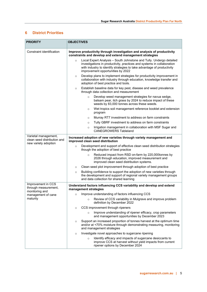# <span id="page-5-0"></span>**6 District Priorities**

| <b>PRIORITY</b>                                                             | <b>OBJECTIVES</b>                                                                                                                                                                                                                                                       |  |  |  |
|-----------------------------------------------------------------------------|-------------------------------------------------------------------------------------------------------------------------------------------------------------------------------------------------------------------------------------------------------------------------|--|--|--|
| Constraint identification                                                   | Improve productivity through investigation and analysis of productivity<br>constraints and develop and extend management strategies                                                                                                                                     |  |  |  |
|                                                                             | Local Expert Analysis - South Johnstone and Tully. Undergo detailed<br>$\circ$<br>investigations in productivity, practices and systems in collaboration<br>with industry to identify strategies to take advantage of productivity<br>improvement opportunities by 2022 |  |  |  |
|                                                                             | Develop plans to implement strategies for productivity improvement in<br>$\circ$<br>collaboration with industry through education, knowledge transfer and<br>adoption of best practice and tools.                                                                       |  |  |  |
|                                                                             | Establish baseline data for key pest, disease and weed prevalence<br>$\circ$<br>through data collection and measurement                                                                                                                                                 |  |  |  |
|                                                                             | Develop weed management strategies for navua sedge,<br>$\circ$<br>balsam pear, itch grass by 2024 to reduce impact of these<br>weeds by 83,000 tonnes across these weeds.                                                                                               |  |  |  |
|                                                                             | Wet tropics soil management reference booklet and extension<br>$\circ$<br>program                                                                                                                                                                                       |  |  |  |
|                                                                             | Murray RT7 investment to address on farm constraints<br>$\circ$                                                                                                                                                                                                         |  |  |  |
|                                                                             | Tully GBRF investment to address on farm constraints<br>$\circ$                                                                                                                                                                                                         |  |  |  |
|                                                                             | Irrigation management in collaboration with MSF Sugar and<br>$\circ$<br><b>CANEGROWERS Tableland</b>                                                                                                                                                                    |  |  |  |
| Varietal management,<br>clean seed distribution and<br>new variety adoption | Increased adoption of new varieties through variety management and<br>improved clean seed distribution                                                                                                                                                                  |  |  |  |
|                                                                             | Development and support of effective clean seed distribution strategies<br>$\circ$<br>though the adoption of best practice                                                                                                                                              |  |  |  |
|                                                                             | Reduced impact from RSD on-farm by 220,000tonnes by<br>$\circ$<br>2026 through education, improved measurement and<br>improved clean seed distribution systems.                                                                                                         |  |  |  |
|                                                                             | Clean seed plot improvement through adoption of best practice<br>$\circ$                                                                                                                                                                                                |  |  |  |
|                                                                             | Building confidence to support the adoption of new varieties through<br>$\circ$<br>the development and support of regional variety management groups<br>and data collection for shared learning                                                                         |  |  |  |
| Improvement in CCS<br>through measurement,                                  | Understand factors influencing CCS variability and develop and extend<br>management strategies                                                                                                                                                                          |  |  |  |
| monitoring and<br>management of cane                                        | o Improve understanding of factors influencing CCS                                                                                                                                                                                                                      |  |  |  |
| maturity                                                                    | Review of CCS variability in Mulgrave and improve problem<br>$\circ$<br>definition by December 2022                                                                                                                                                                     |  |  |  |
|                                                                             | CCS improvement through ripeners<br>$\circ$                                                                                                                                                                                                                             |  |  |  |
|                                                                             | Improve understanding of ripener efficacy, crop parameters<br>$\circ$<br>and management opportunities by December 2023                                                                                                                                                  |  |  |  |
|                                                                             | Support an increased proportion of tonnes harvest at the optimum time<br>$\circ$<br>and/or at <70% moisture through demonstrating measuring, monitoring<br>and management strategies                                                                                    |  |  |  |
|                                                                             | Investigate novel approaches to sugarcane ripening<br>$\circ$                                                                                                                                                                                                           |  |  |  |
|                                                                             | Identify efficacy and impacts of sugarcane desiccants to<br>$\circ$<br>improve CCS at harvest without yield impacts from current<br>ripener options by December 2024                                                                                                    |  |  |  |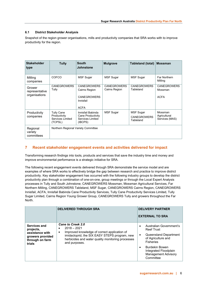#### <span id="page-6-0"></span>**6.1 District Stakeholder Analysis**

Snapshot of the region grower organisations, mills and productivity companies that SRA works with to improve productivity for the region.

| <b>Stakeholder</b><br>type                | <b>Tully</b>                                                            | <b>South</b><br>Johnstone                                                             | <b>Mulgrave</b>                     | <b>Tableland (total)</b>                            | <b>Mossman</b>                               |
|-------------------------------------------|-------------------------------------------------------------------------|---------------------------------------------------------------------------------------|-------------------------------------|-----------------------------------------------------|----------------------------------------------|
| Milling<br>companies                      | COFCO                                                                   | MSF Sugar                                                                             | <b>MSF Sugar</b>                    | <b>MSF Sugar</b>                                    | Far Northern<br>Milling                      |
| Grower<br>representative<br>organisations | <b>CANEGROWERS</b><br>Tully                                             | <b>CANEGROWERS</b><br>Cairns Region<br><b>CANEGROWERS</b><br>Innisfail<br><b>ACFA</b> | <b>CANEGROWERS</b><br>Cairns Region | <b>CANEGROWERS</b><br>Tableland                     | <b>CANEGROWERS</b><br>Mossman<br><b>ACFA</b> |
| Productivity<br>companies                 | <b>Tully Cane</b><br>Productivity<br><b>Services Limited</b><br>(TCPSL) | Innisfail Babinda<br>Cane Productivity<br>Services Limited<br>(IBCPS)                 | <b>MSF Sugar</b>                    | <b>MSF Sugar</b><br><b>CANEGROWERS</b><br>Tableland | Mossman<br>Agricultural<br>Services (MAS)    |
| Regional<br>variety<br>committees         | Northern Regional Variety Committee                                     |                                                                                       |                                     |                                                     |                                              |

# <span id="page-6-1"></span>**7 Recent stakeholder engagement events and activities delivered for impact**

Transforming research findings into tools, products and services that save the industry time and money and improve environmental performance is a strategic initiative for SRA.

The following recent engagement events delivered through SRA demonstrate the service model and are examples of where SRA works to effectively bridge the gap between research and practice to improve district productivity. Key stakeholder engagement has occurred with the following industry groups to develop the district productivity plan through a combination of one-on-one, group meetings or through the Local Expert Analysis processes in Tully and South Johnstone; CANEGROWERS Mossman, Mossman Agricultural Services, Far Northern Milling, CANEGROWERS Tableland, MSF Sugar, CANEGROWERS Cairns Region, CANEGROWERS Innisfail, ACFA, Innisfail Babinda Cane Productivity Services, Tully Cane Productivity Services Limited, Tully Sugar Limited, Cairns Region Young Grower Group, CANEGROWERS Tully and growers throughout the Far North.

|                                                                                               | <b>DELIVERED THROUGH SRA</b>                                                                                                                                                                                          | <b>DELIVERY PARTNER</b><br><b>EXTERNAL TO SRA</b>                                                                                                                                                                                           |
|-----------------------------------------------------------------------------------------------|-----------------------------------------------------------------------------------------------------------------------------------------------------------------------------------------------------------------------|---------------------------------------------------------------------------------------------------------------------------------------------------------------------------------------------------------------------------------------------|
| Services and<br>projects,<br>assistance with<br>growers provided<br>through on farm<br>trials | <b>Cane to Creek 2.0</b><br>$2018 - 2021$<br>Improved knowledge of correct application of<br>٠<br>imidacloprid, the SIX EASY STEPS program, new<br>herbicides and water quality monitoring processes<br>and purposes. | Australian Government's<br>$\bullet$<br><b>Reef Trust</b><br>Queensland Department<br>٠<br>of Agriculture and<br><b>Fisheries</b><br><b>Burdekin Bowen</b><br>$\bullet$<br>Integrated Floodplain<br><b>Management Advisory</b><br>Committee |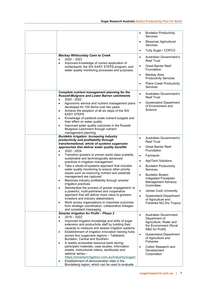|                                                                                                                                                                         | $\bullet$ | <b>Burdekin Productivity</b><br>Services                                |
|-------------------------------------------------------------------------------------------------------------------------------------------------------------------------|-----------|-------------------------------------------------------------------------|
|                                                                                                                                                                         | $\bullet$ | Mossman Agricultural<br>Services                                        |
|                                                                                                                                                                         | $\bullet$ | Tully Sugar / COFCO                                                     |
| <b>Mackay Whitsunday Cane to Creek</b><br>$2020 - 2023$<br>$\bullet$                                                                                                    | $\bullet$ | Australian Government's<br><b>Reef Trust</b>                            |
| Improved knowledge of correct application of<br>$\bullet$<br>imidacloprid, the SIX EASY STEPS program, and<br>water quality monitoring processes and purposes.          | $\bullet$ | <b>Great Barrier Reef</b><br>Foundation                                 |
|                                                                                                                                                                         | $\bullet$ | Mackay Area<br><b>Productivity Services</b>                             |
|                                                                                                                                                                         | $\bullet$ | <b>Plane Creek Productivity</b><br><b>Services</b>                      |
| Complete nutrient management planning for the<br><b>Russell-Mulgrave and Lower Barron catchments</b><br>2020 - 2022<br>$\bullet$                                        | $\bullet$ | Australian Government's<br><b>Reef Trust</b>                            |
| Agronomic service and nutrient management plans<br>$\bullet$<br>developed for 100 farms over two years<br>Achieve the adoption of all six steps of the SIX<br>$\bullet$ | $\bullet$ | Queensland Department<br>of Environment and<br>Science                  |
| <b>EASY STEPS</b><br>Knowledge of paddock-scale nutrient budgets and<br>$\bullet$<br>their effect on water quality                                                      |           |                                                                         |
| Improved water quality outcomes in the Russell-<br>$\bullet$<br>Mulgrave Catchment through nutrient<br>management planning                                              |           |                                                                         |
| <b>Burdekin irrigation: Increasing industry</b><br>productivity and profitability through                                                                               | $\bullet$ | Australian Government's<br><b>Reef Trust</b>                            |
| transformational, whole of systems sugarcane<br>approaches that deliver water quality benefits<br>2020 - 2024<br>$\bullet$                                              | $\bullet$ | <b>Great Barrier Reef</b><br>Foundation                                 |
| Transition growers to proven world class scalable,<br>$\bullet$                                                                                                         | $\bullet$ | Farmacist                                                               |
| sustainable and technologically advanced<br>practices in irrigation management                                                                                          | $\bullet$ | <b>AgriTech Solutions</b>                                               |
| Take a whole-of-systems approach that includes<br>$\bullet$<br>water quality monitoring to ensure other priority                                                        | $\bullet$ | <b>Burdekin Productivity</b><br>Services                                |
| issues such as improving nutrient and pesticide<br>management are captured                                                                                              | $\bullet$ | <b>Burdekin Bowen</b><br>Integrated Floodplain                          |
| Maximise industry profitability through smarter<br>$\bullet$<br>irrigation practices<br>Standardise the process of grower engagement, to<br>٠                           |           | <b>Management Advisory</b><br>Committee                                 |
| a powerful, multi-partnered and cooperative                                                                                                                             | $\bullet$ | James Cook University                                                   |
| approach that will deliver more value to growers,<br>investors and industry stakeholders<br>Work across organisations to maximise outcomes<br>$\bullet$                 | $\bullet$ | Queensland Department<br>of Agriculture and<br>Fisheries NQ Dry Tropics |
| from strategic coordination, collaborative linkages<br>and consistent messaging                                                                                         |           |                                                                         |
| <b>Smarter Irrigation for Profit - Phase 2</b><br>$2019 - 2022$<br>$\bullet$                                                                                            | $\bullet$ | <b>Australian Government</b>                                            |
| Improved irrigation knowledge and skills of sugar<br>$\bullet$                                                                                                          |           | Department of<br>Agriculture, Water and                                 |
| extension and productivity staff by building their<br>capacity to measure and assess irrigation systems                                                                 |           | the Environment (Rural<br>R&D for Profit)                               |
| Establishment of irrigation innovation training hubs<br>$\bullet$<br>across four sugarcane regions - Tableland,<br>Burdekin, Central and Southern                       | $\bullet$ | Queensland Department<br>of Agriculture and                             |
| A readily accessible resource bank storing<br>$\bullet$                                                                                                                 |           | <b>Fisheries</b>                                                        |
| participant materials, case studies, information<br>sheets, instructional videos, workbooks and                                                                         | $\bullet$ | Cotton Research and<br>Development                                      |
| webinar series -                                                                                                                                                        |           | Corporation                                                             |
| https://smarterirrigation.com.au/industry/sugar/<br>Establishment of demonstration sites in the                                                                         |           |                                                                         |
| Bundaberg region, which can be used to evaluate                                                                                                                         |           |                                                                         |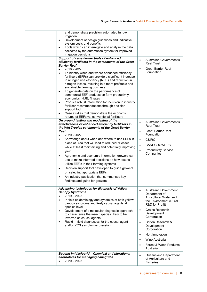| and demonstrate precision automated furrow<br>irrigation<br>Development of design guidelines and indicative<br>$\bullet$<br>system costs and benefits<br>Tools which can interrogate and analyse the data<br>$\bullet$<br>collected by the automation system for improved<br>irrigation decisions<br>Support of cane farmer trials of enhanced<br>efficiency fertilisers in the catchments of the Great<br><b>Barrier Reef</b><br>2016 - 2022<br>$\bullet$<br>To identify when and where enhanced efficiency<br>٠<br>fertilisers (EFFs) can provide a significant increase<br>in nitrogen use efficiency (NUE) and reduction in<br>nitrogen losses, resulting in a more profitable and<br>sustainable farming business<br>To generate data on the performance of<br>$\bullet$<br>commercial EEF products on farm productivity,<br>economics, NUE, N rates<br>Produce robust information for inclusion in industry<br>$\bullet$<br>fertiliser recommendations through decision<br>support tool<br>Case studies that demonstrate the economic<br>returns of EEFs vs. conventional fertilisers<br>On ground testing and modelling of the | Australian Government's<br>$\bullet$<br><b>Reef Trust</b><br><b>Great Barrier Reef</b><br>$\bullet$<br>Foundation                                                                                                                                                                                                                                                            |
|---------------------------------------------------------------------------------------------------------------------------------------------------------------------------------------------------------------------------------------------------------------------------------------------------------------------------------------------------------------------------------------------------------------------------------------------------------------------------------------------------------------------------------------------------------------------------------------------------------------------------------------------------------------------------------------------------------------------------------------------------------------------------------------------------------------------------------------------------------------------------------------------------------------------------------------------------------------------------------------------------------------------------------------------------------------------------------------------------------------------------------------|------------------------------------------------------------------------------------------------------------------------------------------------------------------------------------------------------------------------------------------------------------------------------------------------------------------------------------------------------------------------------|
| effectiveness of enhanced efficiency fertilisers in<br>the Wet Tropics catchments of the Great Barrier<br><b>Reef</b><br>2020 - 2022<br>$\bullet$<br>Knowledge about when and where to use EEFs in<br>$\bullet$<br>place of urea that will lead to reduced N losses<br>while at least maintaining and potentially improving<br>yield<br>Agronomic and economic information growers can<br>$\bullet$<br>use to make informed decisions on how best to<br>utilise EEF's in their farming systems<br>Decision support tool developed to guide growers<br>٠<br>on selecting appropriate EEFs<br>An industry publication that summarises key<br>$\bullet$<br>findings and guide for growers                                                                                                                                                                                                                                                                                                                                                                                                                                                | Australian Government's<br>$\bullet$<br><b>Reef Trust</b><br><b>Great Barrier Reef</b><br>$\bullet$<br>Foundation<br><b>CSIRO</b><br>$\bullet$<br><b>CANEGROWERS</b><br>$\bullet$<br><b>Productivity Service</b><br>$\bullet$<br>Companies                                                                                                                                   |
| Advancing techniques for diagnosis of Yellow<br><b>Canopy Syndrome</b><br>$2019 - 2023$<br>$\bullet$<br>In-field epidemiology and dynamics of both yellow<br>$\bullet$<br>canopy syndrome and likely causal agents at<br>species level<br>Development of a molecular diagnostic approach<br>to characterise the insect species likely to be<br>involved as causal agents<br>Rapid in-field diagnostics for the causal agent<br>$\bullet$<br>and/or YCS symptom expression.                                                                                                                                                                                                                                                                                                                                                                                                                                                                                                                                                                                                                                                            | <b>Australian Government</b><br>Department of<br>Agriculture, Water and<br>the Environment (Rural<br>R&D for Profit)<br><b>Grains Research</b><br>$\bullet$<br>Development<br>Corporation<br>Cotton Research &<br>$\bullet$<br>Development<br>Corporation<br>Hort Innovation<br>$\bullet$<br>Wine Australia<br>$\bullet$<br>Forest & Wood Products<br>$\bullet$<br>Australia |
| Beyond imidacloprid - Chemical and biorational<br>alternatives for managing canegrubs<br>$2020 - 2025$                                                                                                                                                                                                                                                                                                                                                                                                                                                                                                                                                                                                                                                                                                                                                                                                                                                                                                                                                                                                                                | Queensland Department<br>$\bullet$<br>of Agriculture and<br><b>Fisheries</b>                                                                                                                                                                                                                                                                                                 |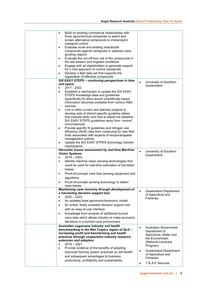| Build on existing commercial relationships with<br>$\bullet$<br>three agrochemical companies to select and<br>screen alternative compounds to imidacloprid<br>canegrub control<br>Evaluate novel and existing insecticidal<br>$\bullet$<br>compounds against canegrubs in selected cane-<br>growing regions<br>Evaluate the run-off loss risk of the compounds in<br>$\bullet$<br>the wet season and irrigated conditions<br>Engage with all stakeholders to generate support<br>٠<br>for a new approach to control canegrubs<br>Develop a field data set that supports the<br>$\bullet$<br>registration of effective compounds |                                                                                                                                                                                                                                  |
|---------------------------------------------------------------------------------------------------------------------------------------------------------------------------------------------------------------------------------------------------------------------------------------------------------------------------------------------------------------------------------------------------------------------------------------------------------------------------------------------------------------------------------------------------------------------------------------------------------------------------------|----------------------------------------------------------------------------------------------------------------------------------------------------------------------------------------------------------------------------------|
| SIX EASY STEPS - continuing perspectives in time                                                                                                                                                                                                                                                                                                                                                                                                                                                                                                                                                                                | University of Southern                                                                                                                                                                                                           |
| and space                                                                                                                                                                                                                                                                                                                                                                                                                                                                                                                                                                                                                       | Queensland                                                                                                                                                                                                                       |
| 2017 - 2022<br>$\bullet$<br>Establish a mechanism to update the SIX EASY<br>$\bullet$<br>STEPS knowledge base and guidelines<br>(specifically N) when sound scientifically based<br>information becomes available from various R&D<br>sources.<br>Link to other current and planned projects to<br>$\bullet$                                                                                                                                                                                                                                                                                                                    |                                                                                                                                                                                                                                  |
| develop sets of district-specific guideline tables<br>that indicate when and how to adjust the baseline<br>SIX EASY STEPS guidelines away from 'normal'<br>circumstances.<br>Provide specific N guidelines and nitrogen use<br>$\bullet$<br>efficiency (NUE) data from continuing for new field<br>trials associated with aspects of temporal/spatial                                                                                                                                                                                                                                                                           |                                                                                                                                                                                                                                  |
| management options.<br>Update the SIX EASY STPES technology transfer<br>٠<br>mechanisms.                                                                                                                                                                                                                                                                                                                                                                                                                                                                                                                                        |                                                                                                                                                                                                                                  |
| Harvester losses assessment by real-time Machine<br><b>Vision Systems</b><br>$2019 - 2022$<br>$\bullet$<br>Identify machine vision sensing technologies that<br>٠<br>could be used for real-time estimation of harvester<br>losses.<br>Proof-of-concept cane loss sensing equipment and<br>٠<br>algorithms<br>Proof-of-concept sensing technology to detect<br>cane losses                                                                                                                                                                                                                                                      | University of Southern<br>$\bullet$<br>Queensland                                                                                                                                                                                |
| Maximising cane recovery through development of<br>a harvesting decision support tool<br>$2020 - 2023$<br>$\bullet$<br>An updated base agronomic/economic model<br>$\bullet$<br>An online, freely available decision support tool<br>٠<br>with an easy-to-use interface<br>Knowledge from analysis of additional burned<br>$\bullet$<br>cane data which allows industry to make economic<br>decisions in a burned cane environment                                                                                                                                                                                              | Queensland Department<br>$\bullet$<br>of Agriculture and<br><b>Fisheries</b>                                                                                                                                                     |
| Australian sugarcane industry soil health<br>benchmarking in the Wet Tropics region of QLD -<br>increasing profit and transforming soil health<br>practices through cooperative industry research,<br>extension and adoption<br>$2019 - 2021$<br>$\bullet$<br>Provide evidence of the benefits of adopting<br>$\bullet$<br>improved farming system practices on soil health<br>and subsequent advantages to business<br>productivity, profitability and sustainability.                                                                                                                                                         | <b>Australian Government</b><br>$\bullet$<br>Department of<br>Agriculture, Water and<br>the Environment<br>(National Landcare<br>Program)<br>Queensland Department<br>of Agriculture and<br><b>Fisheries</b><br>T.R.A.P Services |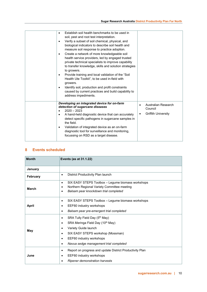# <span id="page-10-0"></span>**8 Events scheduled**

| <b>Month</b>    | Events (as at 31.1.22)                                                                                                                                                                                                                                         |  |  |  |  |
|-----------------|----------------------------------------------------------------------------------------------------------------------------------------------------------------------------------------------------------------------------------------------------------------|--|--|--|--|
| January         |                                                                                                                                                                                                                                                                |  |  |  |  |
| <b>February</b> | District Productivity Plan launch<br>$\bullet$                                                                                                                                                                                                                 |  |  |  |  |
| <b>March</b>    | SIX EASY STEPS Toolbox - Legume biomass workshops<br>$\bullet$<br>Northern Regional Variety Committee meeting<br>٠<br>Balsam pear knockdown trial completed<br>٠                                                                                               |  |  |  |  |
| April           | SIX EASY STEPS Toolbox - Legume biomass workshops<br>٠<br>EEF60 industry workshops<br>٠<br>Balsam pear pre-emergent trial completed<br>٠                                                                                                                       |  |  |  |  |
| May             | SRA Tully Field Day (5th May)<br>$\bullet$<br>SRA Meringa Field Day (10 <sup>th</sup> May)<br>٠<br>Variety Guide launch<br>$\bullet$<br>SIX EASY STEPS workshop (Mossman)<br>٠<br>EEF60 industry workshops<br>٠<br>Navua sedge management trial completed<br>٠ |  |  |  |  |
| June            | Report on progress and update District Productivity Plan<br>٠<br>EEF60 industry workshops<br>٠<br>Ripener demonstration harvests                                                                                                                               |  |  |  |  |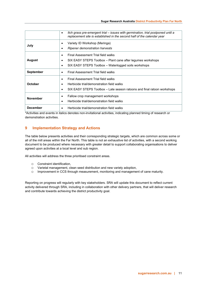|                  | Itch grass pre-emergent trial – issues with germination, trial postponed until a<br>٠<br>replacement site is established in the second half of the calendar year          |
|------------------|---------------------------------------------------------------------------------------------------------------------------------------------------------------------------|
| July             | Variety ID Workshop (Meringa)<br>٠<br>Ripener demonstration harvests<br>٠                                                                                                 |
| <b>August</b>    | Final Assessment Trial field walks<br>٠<br>SIX EASY STEPS Toolbox – Plant cane after legumes workshops<br>٠<br>SIX EASY STEPS Toolbox - Waterlogged soils workshops<br>٠  |
| <b>September</b> | Final Assessment Trial field walks<br>٠                                                                                                                                   |
| October          | Final Assessment Trial field walks<br>٠<br>Herbicide trial/demonstration field walks<br>٠<br>SIX EASY STEPS Toolbox – Late season ratoons and final ratoon workshops<br>٠ |
| <b>November</b>  | Fallow crop management workshops<br>٠<br>Herbicide trial/demonstration field walks<br>٠                                                                                   |
| <b>December</b>  | Herbicide trial/demonstration field walks                                                                                                                                 |

\*Activities and events in italics denotes non-invitational activities, indicating planned timing of research or demonstration activities.

# <span id="page-11-0"></span>**9 Implementation Strategy and Actions**

The table below presents activities and their corresponding strategic targets, which are common across some or all of the mill areas within the Far North. This table is not an exhaustive list of activities, with a second working document to be produced where necessary with greater detail to support collaborating organisations to deliver agreed upon activities at a local level and sub region.

All activities will address the three prioritised constraint areas.

- o Constraint identification,
- o Varietal management, clean seed distribution and new variety adoption,
- Improvement in CCS through measurement, monitoring and management of cane maturity.

Reporting on progress will regularly with key stakeholders. SRA will update this document to reflect current activity delivered through SRA, including in collaboration with other delivery partners, that will deliver research and contribute towards achieving the district productivity goal.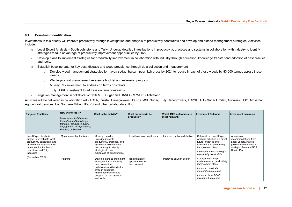#### **9.1 Constraint identification**

Investments in this priority will improve productivity through investigation and analysis of productivity constraints and develop and extend management strategies. Activities include:

- o Local Expert Analysis South Johnstone and Tully. Undergo detailed investigations in productivity, practices and systems in collaboration with industry to identify strategies to take advantage of productivity improvement opportunities by 2022
- $\circ$  Develop plans to implement strategies for productivity improvement in collaboration with industry through education, knowledge transfer and adoption of best practice and tools.
- o Establish baseline data for key pest, disease and weed prevalence through data collection and measurement
	- o Develop weed management strategies for navua sedge, balsam pear, itch grass by 2024 to reduce impact of these weeds by 83,000 tonnes across these weeds.
	- o Wet tropics soil management reference booklet and extension program
	- o Murray RT7 investment to address on farm constraints
	- o Tully GBRF investment to address on farm constraints
- o Irrigation management in collaboration with MSF Sugar and CANEGROWERS Tableland

Activities will be delivered in collaboration with ACFA, Innisfail Canegrowers, IBCPS, MSF Sugar, Tully Canegrowers, TCPSL, Tully Sugar Limited, Growers, USQ, Mossman Agricultural Services, Far Northern Milling, IBCPS and other collaborators TBC.

<span id="page-12-0"></span>

| <b>Targeted Practices</b>                                                                                                                                                        | How will we do it?<br>Measurement of the issue:<br>Education and knowledge<br>transfer; Planning, Industry<br>engagement, New practices;<br><b>Product: or Service</b> | What is the activity?                                                                                                                                                                                 | What outputs will be<br>produced?                     | Which MEE outcomes are<br>most relevant? | <b>Investment Outcome</b>                                                                                                                                                                            | Investment measures                                                                                                                  |
|----------------------------------------------------------------------------------------------------------------------------------------------------------------------------------|------------------------------------------------------------------------------------------------------------------------------------------------------------------------|-------------------------------------------------------------------------------------------------------------------------------------------------------------------------------------------------------|-------------------------------------------------------|------------------------------------------|------------------------------------------------------------------------------------------------------------------------------------------------------------------------------------------------------|--------------------------------------------------------------------------------------------------------------------------------------|
| Local Expert Analysis<br>project to investigate local<br>productivity constraints and<br>promote pathways for R&D<br>outcomes for the South<br>Johnstone and Tully<br>industries | Measurement of the issue                                                                                                                                               | Undergo detailed<br>investigations into<br>productivity, practices, and<br>systems in collaboration<br>with industry to identify<br>strategies to take<br>advantage of opportunities                  | Identification of constraints                         | Improved problem definition              | Outputs from Local Expert<br>Analysis activities will direct<br>future initiatives and<br>investment for productivity<br>improvement plans<br>Increased understanding of<br>productivity constraints | Adoption of<br>recommendations from<br>Local Expert Analysis<br>projects within industry<br>strategic plans and SRA<br>District Plan |
| (December 2022)                                                                                                                                                                  | Planning                                                                                                                                                               | Develop plans to implement<br>strategies for productivity<br>improvement in<br>collaboration with industry<br>through education,<br>knowledge transfer and<br>adoption of best practice<br>and tools. | Identification of<br>opportunities for<br>improvement | Improved solution design                 | Catalyst to develop<br>evidence-based productivity<br>improvement plans<br>Improved constraint<br>remediation strategies<br>Improved local RD&E<br>investment strategies                             |                                                                                                                                      |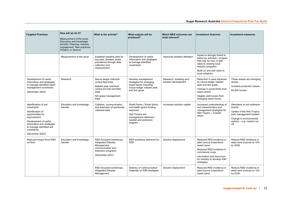| <b>Targeted Practices</b>                                                                                                                                                                                            | How will we do it?<br>Measurement of the issue:<br><b>Education and knowledge</b><br>transfer; Planning, Industry<br>engagement, New practices;<br>Product: or Service | What is the activity?                                                                                                                            | What outputs will be<br>produced?                                                                                                                     | Which MEE outcomes are<br>most relevant?       | <b>Investment Outcome</b>                                                                                                                                                                     | <b>Investment measures</b>                                                                                                                                      |
|----------------------------------------------------------------------------------------------------------------------------------------------------------------------------------------------------------------------|------------------------------------------------------------------------------------------------------------------------------------------------------------------------|--------------------------------------------------------------------------------------------------------------------------------------------------|-------------------------------------------------------------------------------------------------------------------------------------------------------|------------------------------------------------|-----------------------------------------------------------------------------------------------------------------------------------------------------------------------------------------------|-----------------------------------------------------------------------------------------------------------------------------------------------------------------|
|                                                                                                                                                                                                                      | Measurement of the issue                                                                                                                                               | Establish baseline data for<br>key pest, disease, weed<br>prevalence through data<br>collection and<br>measurement                               | Development of useful<br>information and strategies<br>to manage identified<br>constraints                                                            | Improved problem definition                    | Impact is strongly linked to<br>follow-up activities / projects<br>that may be new or add<br>value to existing local<br>industry programs<br>Build on and add value to<br>local initiatives   |                                                                                                                                                                 |
| Development of useful<br>information and strategies<br>to manage identified weed<br>management constraints<br>(December 2022)                                                                                        | Research                                                                                                                                                               | Navua sedge chemical<br>control field trials<br>Balsam pear chemical<br>control pot trial and field<br>trials<br>Itch grass management<br>trials | Develop management<br>strategies for emerging<br>weed issues including<br>navua sedge, balsam pear<br>and itch grass                                  | Research, breeding and<br>solution development | Reduction in area impacted<br>by navua sedge, balsam<br>pear and itch grass<br>Change in productivity from<br>weed control<br>Negate yield losses from<br>emerging weed issues                | These weeds are emerging<br>issues.<br>Avoided production losses<br>83,000 tonnes                                                                               |
| Identification of soil<br>constraints<br>Identification of<br>opportunities for<br>improvement<br>Development of useful<br>information and strategies<br>to manage identified soil<br>constraints<br>(December 2023) | Education and knowledge<br>transfer                                                                                                                                    | Collation, communication,<br>and extension of previously<br>collected data                                                                       | Small Farms / Smart farms:<br>soil health (grant funding<br>required)<br>Wet Tropics soil<br>management reference<br>booklet and extension<br>program | Increased solution uptake                      | Increased understanding of<br>soil characteristics and<br>management strategies for<br>Wet Tropics - Coastal<br>areas                                                                         | Attendees at soil extension<br>events<br>Uptake of the Wet Tropics<br>soils management booklet<br>Change in environmental<br>metrics - e.g. nutrient run<br>off |
| Reduced impact from RSD<br>on-farm                                                                                                                                                                                   | Education and knowledge<br>transfer                                                                                                                                    | RSD focussed workshops,<br><b>Integrated Disease</b><br>Management<br>communication and<br>extension programs<br>(December 2021)                 | RSD workshop delivered by<br><b>SRA</b>                                                                                                               | Solution deployment                            | Reduced RSD incidence in<br>plant source inspections<br>(seed cane)<br>Reduced RSD incidence in<br>commercial crops<br>Information and resources<br>for industry to develop IDM<br>strategies | Reduce RSD incidence in<br>seed cane sources to <5%<br>by 2026                                                                                                  |
|                                                                                                                                                                                                                      |                                                                                                                                                                        | RSD focussed workshops,<br><b>Integrated Disease</b><br>Management                                                                               | Delivery of communication<br>materials on IDM strategies                                                                                              | Solution deployment                            | Reduced RSD incidence in<br>plant source inspections<br>(seed cane)                                                                                                                           | Reduce RSD incidence in<br>seed cane sources to <5%<br>by 2026                                                                                                  |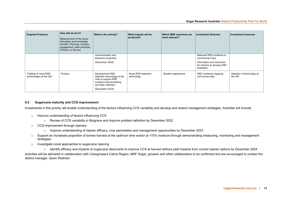| <b>Targeted Practices</b>                          | How will we do it?<br>Measurement of the issue:<br>Education and knowledge<br>transfer; Planning, Industry<br>engagement, New practices;<br><b>Product: or Service</b> | What is the activity?                                                                                                                      | What outputs will be<br>produced? | Which MEE outcomes are<br>most relevant? | <b>Investment Outcome</b>                                                                                              | Investment measures                   |
|----------------------------------------------------|------------------------------------------------------------------------------------------------------------------------------------------------------------------------|--------------------------------------------------------------------------------------------------------------------------------------------|-----------------------------------|------------------------------------------|------------------------------------------------------------------------------------------------------------------------|---------------------------------------|
|                                                    |                                                                                                                                                                        | communication and<br>extension programs<br>(December 2022)                                                                                 |                                   |                                          | Reduced RSD incidence in<br>commercial crops<br>Information and resources<br>for industry to develop IDM<br>strategies |                                       |
| Trialling of novel RSD<br>technologies at the mill | Product                                                                                                                                                                | Development RSD<br>detection technology at the<br>mills to support RSD<br>incidence benchmarking<br>and data collection<br>(December 2024) | Novel RSD detection<br>technology | Solution deployment                      | RSD incidence mapping<br>and survey data                                                                               | Adoption of technology at<br>the mill |

#### **9.2 Sugarcane maturity and CCS improvement**

Investments in this priority will enable understanding of the factors influencing CCS variability and develop and extend management strategies. Activities will include:

- o Improve understanding of factors influencing CCS
	- o Review of CCS variability in Mulgrave and improve problem definition by December 2022
- o CCS improvement through ripeners
	- o Improve understanding of ripener efficacy, crop parameters and management opportunities by December 2023
- o Support an increased proportion of tonnes harvest at the optimum time and/or at <70% moisture through demonstrating measuring, monitoring and management strategies
- o Investigate novel approaches to sugarcane ripening
	- o Identify efficacy and impacts of sugarcane desiccants to improve CCS at harvest without yield impacts from current ripener options by December 2024

<span id="page-14-0"></span>Activities will be delivered in collaboration with Canegrowers Cairns Region, MSF Sugar, growers and other collaborators to be confirmed and are encouraged to contact the district manager, Gavin Rodman.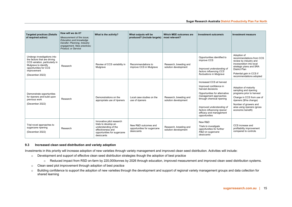| <b>Targeted practices (Details</b><br>of required action)                                                                                                                        | How will we do it?<br>Measurement of the issue:<br>Education and knowledge<br>transfer; Planning, Industry<br>engagement. New practices:<br><b>Product: or Service</b> | What is the activity?                                                                                                                       | What outputs will be<br>produced? (include targets)               | Which MEE outcomes are<br>most relevant?       | Investment outcome/s                                                                                                                                                                                                                                                   | Investment measure                                                                                                                                                                                             |
|----------------------------------------------------------------------------------------------------------------------------------------------------------------------------------|------------------------------------------------------------------------------------------------------------------------------------------------------------------------|---------------------------------------------------------------------------------------------------------------------------------------------|-------------------------------------------------------------------|------------------------------------------------|------------------------------------------------------------------------------------------------------------------------------------------------------------------------------------------------------------------------------------------------------------------------|----------------------------------------------------------------------------------------------------------------------------------------------------------------------------------------------------------------|
| Undergo investigations into<br>the factors that are driving<br>CCS variation, particularly in<br>Mulgrave to identify<br>opportunities for CCS<br>improvement<br>(December 2022) | Research                                                                                                                                                               | Review of CCS variability in<br>Mulgrave                                                                                                    | Recommendations to<br>improve CCS in Mulgrave                     | Research, breeding and<br>solution development | Opportunities identified to<br>improve CCS<br>Improved understanding of<br>factors influencing CCS<br>fluctuations in Mulgrave                                                                                                                                         | Adoption of<br>recommendations from CCS<br>review by industry and<br>incorporation into local<br>strategic plans and SRA<br><b>District Plan</b><br>Potential gain in CCS if<br>recommendations adopted        |
| Demonstrate opportunities<br>for ripeners and build upon<br>previous work<br>(December 2022)                                                                                     | Research                                                                                                                                                               | Demonstrations on the<br>appropriate use of ripeners                                                                                        | Local case studies on the<br>use of ripeners                      | Research, breeding and<br>solution development | Increased CCS at harvest<br>Improved confidence in<br>harvest decisions<br>Opportunities for alternative<br>management approaches<br>through chemical ripening<br>Improved understanding of<br>factors influencing ripener<br>efficacy and management<br>opportunities | Adoption of maturity<br>sampling and ripening<br>programs prior to harvest<br>Change in CCS from use of<br>ripeners (\$/ha change)<br>Number of growers and<br>area using ripeners (gross<br>economic benefit) |
| Trial novel approaches to<br>sugarcane ripening<br>(December 2022)                                                                                                               | Research                                                                                                                                                               | Innovative pilot research<br>trials to develop an<br>understanding of the<br>effectiveness and<br>opportunities for sugarcane<br>desiccants | New R&D outcomes and<br>opportunities for sugarcane<br>desiccants | Research, breeding and<br>solution development | New R&D<br>Trials to investigate<br>opportunities for further<br>R&D on sugarcane<br>desiccants                                                                                                                                                                        | CCS increase and<br>profitability improvement<br>compared to controls                                                                                                                                          |

#### **9.3 Increased clean seed distribution and variety adoption**

Investments in this priority will increase adoption of new varieties through variety management and improved clean seed distribution. Activities will include:

- o Development and support of effective clean seed distribution strategies though the adoption of best practice
	- o Reduced impact from RSD on-farm by 220,000tonnes by 2026 through education, improved measurement and improved clean seed distribution systems.
- o Clean seed plot improvement through adoption of best practice
- <span id="page-15-0"></span>o Building confidence to support the adoption of new varieties through the development and support of regional variety management groups and data collection for shared learning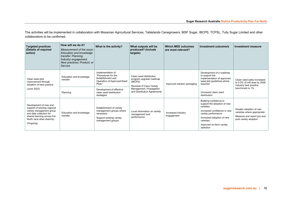The activities will be implemented in collaboration with Mossman Agricultural Services, Tablelands Canegrowers, MSF Sugar, IBCPS, TCPSL, Tully Sugar Limited and other collaborators to be confirmed.

| <b>Targeted practices</b><br>(Details of required<br>action)                                                                                                                            | How will we do it?<br>Measurement of the issue:<br>Education and knowledge<br>transfer; Planning,<br>Industry engagement,<br>New practices; Product; or<br>Service | What is the activity?                                                                                                                                                      | What outputs will be<br>produced? (include<br>targets)                                                                                             | <b>Which MEE outcomes</b><br>are most relevant? | Investment outcome/s                                                                                                                                                                                        | Investment measure                                                                                            |
|-----------------------------------------------------------------------------------------------------------------------------------------------------------------------------------------|--------------------------------------------------------------------------------------------------------------------------------------------------------------------|----------------------------------------------------------------------------------------------------------------------------------------------------------------------------|----------------------------------------------------------------------------------------------------------------------------------------------------|-------------------------------------------------|-------------------------------------------------------------------------------------------------------------------------------------------------------------------------------------------------------------|---------------------------------------------------------------------------------------------------------------|
| Clean seed plot<br>improvement through<br>adoption of best practice<br>(June 2022)                                                                                                      | Education and knowledge<br>transfer<br>Planning                                                                                                                    | Implementation of<br>"Procedures for the<br>Establishment and<br>Operation of Approved-Seed<br>Plots"<br>Development of effective<br>clean seed distribution<br>strategies | Clean seed distribution<br>program upgrade roadmap<br>(IBCPS)<br>Renewal of Cane Variety<br>Management, Propagation<br>and Distribution Agreements | Improved solution packaging                     | Development of a roadmap<br>to support the<br>implementation of approved<br>seed plot guidelines where<br>required<br>Increased clean seed<br>distribution                                                  | Clean seed sales increased<br>to 0.5% of mill area by 2026.<br>Industry best practice<br>benchmark is 1%.     |
| Development of new and<br>support of existing regional<br>variety management group<br>and data collection for<br>shared learning across Far<br>North (and other districts)<br>(Ongoing) | Education and knowledge<br>transfer                                                                                                                                | Establishment of variety<br>management groups where<br>necessary<br>Support existing variety<br>management groups                                                          | Local information on variety<br>management and<br>performance                                                                                      | Increased industry<br>engagement                | Building confidence to<br>support the adoption of new<br>varieties<br>Increased confidence in new<br>variety performance<br>Increased adoption of new<br>varieties<br>Improved on-farm variety<br>selection | Greater adoption of new<br>varieties where appropriate<br>Measure and report pre and<br>post variety adoption |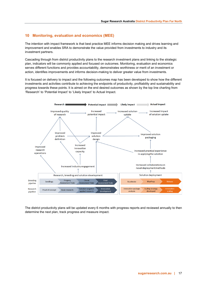### <span id="page-17-0"></span>**10 Monitoring, evaluation and economics (MEE)**

The intention with impact framework is that best practice MEE informs decision making and drives learning and improvement and enables SRA to demonstrate the value provided from investments to industry and its investment partners.

Cascading through from district productivity plans to the research investment plans and linking to the strategic plan, indicators will be commonly applied and focused on outcomes. Monitoring, evaluation and economics serves different functions and provides accountability, demonstrates worthiness or merit of an investment or action, identifies improvements and informs decision-making to deliver greater value from investments.

It is focused on delivery to impact and the following outcomes map has been developed to show how the different investments and activities contribute to achieving the endpoints of productivity, profitability and sustainability and progress towards these points. It is aimed on the end desired outcomes as shown by the top line charting from 'Research' to 'Potential Impact' to 'Likely Impact' to Actual Impact.



The district productivity plans will be updated every 6 months with progress reports and reviewed annually to then determine the next plan, track progress and measure impact.